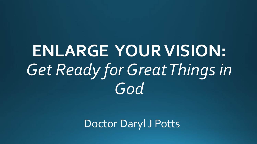# **ENLARGE YOUR VISION:** *Get Ready for Great Things in God*

Doctor Daryl J Potts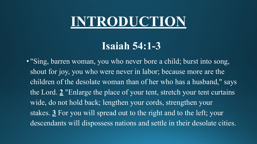# **INTRODUCTION**

### **Isaiah 54:1-3**

• "Sing, barren woman, you who never bore a child; burst into song, shout for joy, you who were never in labor; because more are the children of the desolate woman than of her who has a husband," says the Lord. **[2](https://www.christianity.com/bible/niv/isaiah/54-2)** "Enlarge the place of your tent, stretch your tent curtains wide, do not hold back; lengthen your cords, strengthen your stakes. **[3](https://www.christianity.com/bible/niv/isaiah/54-3)** For you will spread out to the right and to the left; your descendants will dispossess nations and settle in their desolate cities.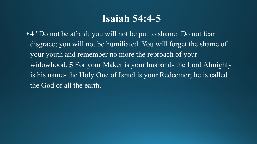### **Isaiah 54:4-5**

**• [4](https://www.christianity.com/bible/niv/isaiah/54-4)** "Do not be afraid; you will not be put to shame. Do not fear disgrace; you will not be humiliated. You will forget the shame of your youth and remember no more the reproach of your widowhood. **[5](https://www.christianity.com/bible/niv/isaiah/54-5)** For your Maker is your husband- the Lord Almighty is his name- the Holy One of Israel is your Redeemer; he is called the God of all the earth.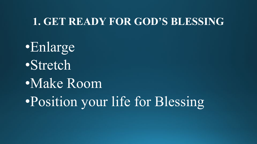#### **1. GET READY FOR GOD'S BLESSING**

•Enlarge •Stretch •Make Room •Position your life for Blessing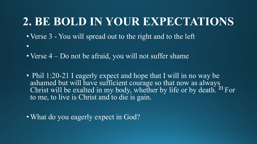## **2. BE BOLD IN YOUR EXPECTATIONS**

- Verse 3 You will spread out to the right and to the left
- Verse 4 Do not be afraid, you will not suffer shame
- Phil 1:20-21 I eagerly expect and hope that I will in no way be ashamed but will have sufficient courage so that now as always Christ will be exalted in my body, whether by life or by death. **<sup>21</sup>**For to me, to live is Christ and to die is gain.

• What do you eagerly expect in God?

•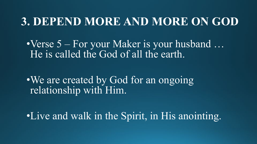### **3. DEPEND MORE AND MORE ON GOD**

•Verse 5 – For your Maker is your husband ... He is called the God of all the earth.

•We are created by God for an ongoing relationship with Him.

•Live and walk in the Spirit, in His anointing.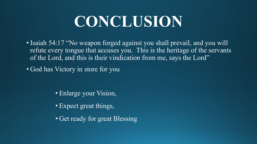# **CONCLUSION**

- Isaiah 54:17 "No weapon forged against you shall prevail, and you will refute every tongue that accuses you. This is the heritage of the servants of the Lord, and this is their vindication from me, says the Lord"
- God has Victory in store for you

- Enlarge your Vision,
- Expect great things,
- Get ready for great Blessing